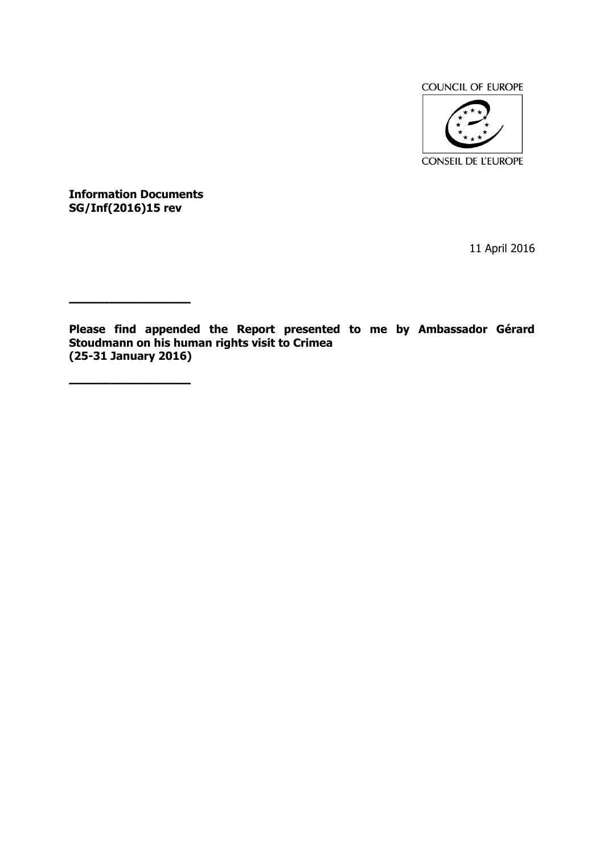

**Information Documents SG/Inf(2016)15 rev**

**————————————**

**————————————**

11 April 2016

**Please find appended the Report presented to me by Ambassador Gérard Stoudmann on his human rights visit to Crimea (25-31 January 2016)**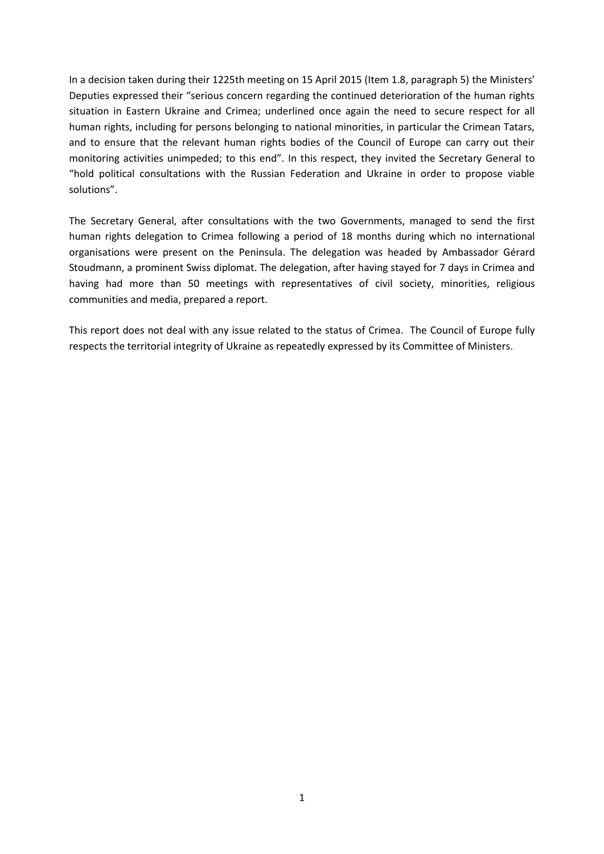In a decision taken during their 1225th meeting on 15 April 2015 (Item 1.8, paragraph 5) the Ministers' Deputies expressed their "serious concern regarding the continued deterioration of the human rights situation in Eastern Ukraine and Crimea; underlined once again the need to secure respect for all human rights, including for persons belonging to national minorities, in particular the Crimean Tatars, and to ensure that the relevant human rights bodies of the Council of Europe can carry out their monitoring activities unimpeded; to this end". In this respect, they invited the Secretary General to "hold political consultations with the Russian Federation and Ukraine in order to propose viable solutions".

The Secretary General, after consultations with the two Governments, managed to send the first human rights delegation to Crimea following a period of 18 months during which no international organisations were present on the Peninsula. The delegation was headed by Ambassador Gérard Stoudmann, a prominent Swiss diplomat. The delegation, after having stayed for 7 days in Crimea and having had more than 50 meetings with representatives of civil society, minorities, religious communities and media, prepared a report.

This report does not deal with any issue related to the status of Crimea. The Council of Europe fully respects the territorial integrity of Ukraine as repeatedly expressed by its Committee of Ministers.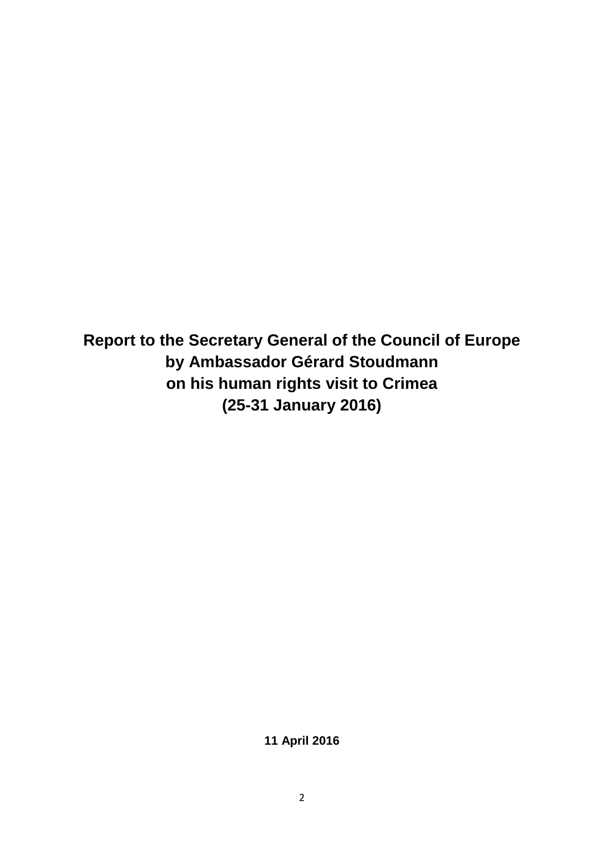**Report to the Secretary General of the Council of Europe by Ambassador Gérard Stoudmann on his human rights visit to Crimea (25-31 January 2016)**

**11 April 2016**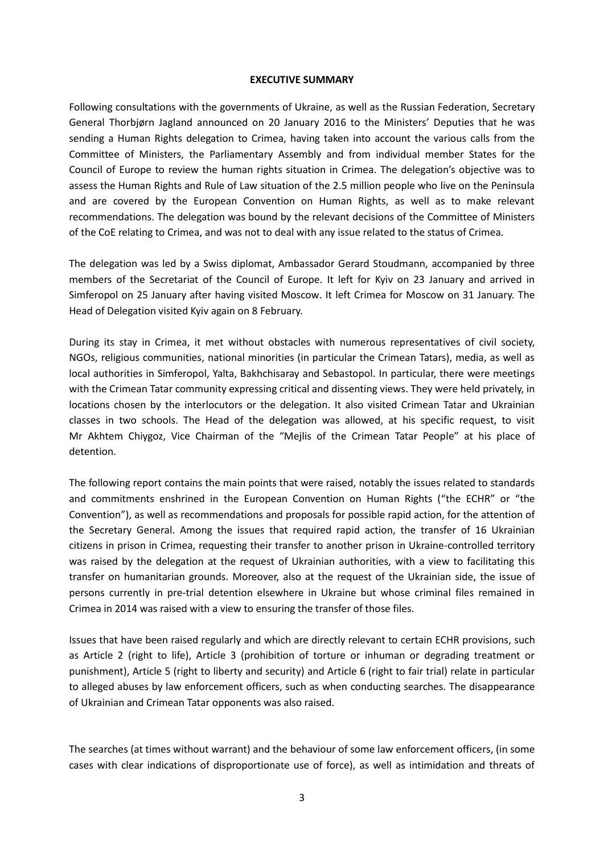#### **EXECUTIVE SUMMARY**

Following consultations with the governments of Ukraine, as well as the Russian Federation, Secretary General Thorbjørn Jagland announced on 20 January 2016 to the Ministers' Deputies that he was sending a Human Rights delegation to Crimea, having taken into account the various calls from the Committee of Ministers, the Parliamentary Assembly and from individual member States for the Council of Europe to review the human rights situation in Crimea. The delegation's objective was to assess the Human Rights and Rule of Law situation of the 2.5 million people who live on the Peninsula and are covered by the European Convention on Human Rights, as well as to make relevant recommendations. The delegation was bound by the relevant decisions of the Committee of Ministers of the CoE relating to Crimea, and was not to deal with any issue related to the status of Crimea.

The delegation was led by a Swiss diplomat, Ambassador Gerard Stoudmann, accompanied by three members of the Secretariat of the Council of Europe. It left for Kyiv on 23 January and arrived in Simferopol on 25 January after having visited Moscow. It left Crimea for Moscow on 31 January. The Head of Delegation visited Kyiv again on 8 February.

During its stay in Crimea, it met without obstacles with numerous representatives of civil society, NGOs, religious communities, national minorities (in particular the Crimean Tatars), media, as well as local authorities in Simferopol, Yalta, Bakhchisaray and Sebastopol. In particular, there were meetings with the Crimean Tatar community expressing critical and dissenting views. They were held privately, in locations chosen by the interlocutors or the delegation. It also visited Crimean Tatar and Ukrainian classes in two schools. The Head of the delegation was allowed, at his specific request, to visit Mr Akhtem Chiygoz, Vice Chairman of the "Mejlis of the Crimean Tatar People" at his place of detention.

The following report contains the main points that were raised, notably the issues related to standards and commitments enshrined in the European Convention on Human Rights ("the ECHR" or "the Convention"), as well as recommendations and proposals for possible rapid action, for the attention of the Secretary General. Among the issues that required rapid action, the transfer of 16 Ukrainian citizens in prison in Crimea, requesting their transfer to another prison in Ukraine-controlled territory was raised by the delegation at the request of Ukrainian authorities, with a view to facilitating this transfer on humanitarian grounds. Moreover, also at the request of the Ukrainian side, the issue of persons currently in pre-trial detention elsewhere in Ukraine but whose criminal files remained in Crimea in 2014 was raised with a view to ensuring the transfer of those files.

Issues that have been raised regularly and which are directly relevant to certain ECHR provisions, such as Article 2 (right to life), Article 3 (prohibition of torture or inhuman or degrading treatment or punishment), Article 5 (right to liberty and security) and Article 6 (right to fair trial) relate in particular to alleged abuses by law enforcement officers, such as when conducting searches. The disappearance of Ukrainian and Crimean Tatar opponents was also raised.

The searches (at times without warrant) and the behaviour of some law enforcement officers, (in some cases with clear indications of disproportionate use of force), as well as intimidation and threats of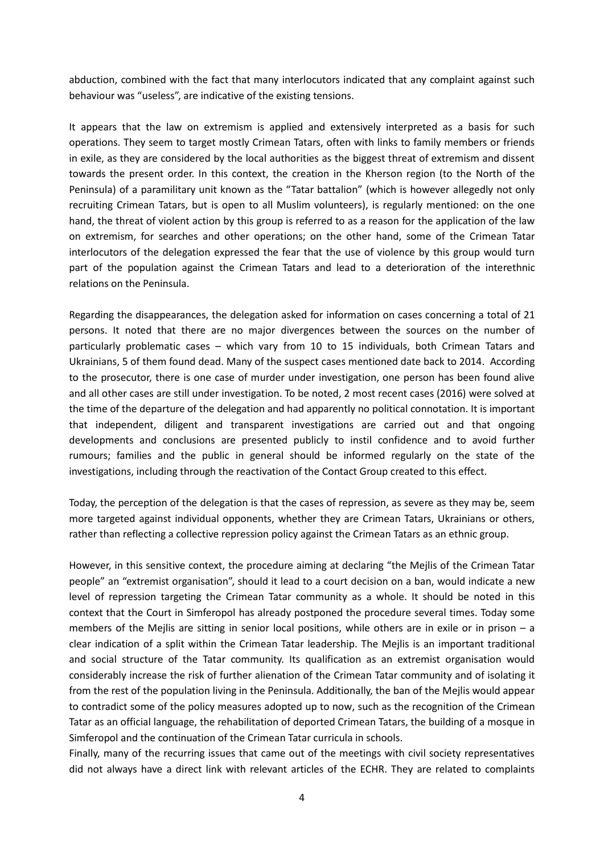abduction, combined with the fact that many interlocutors indicated that any complaint against such behaviour was "useless", are indicative of the existing tensions.

It appears that the law on extremism is applied and extensively interpreted as a basis for such operations. They seem to target mostly Crimean Tatars, often with links to family members or friends in exile, as they are considered by the local authorities as the biggest threat of extremism and dissent towards the present order. In this context, the creation in the Kherson region (to the North of the Peninsula) of a paramilitary unit known as the "Tatar battalion" (which is however allegedly not only recruiting Crimean Tatars, but is open to all Muslim volunteers), is regularly mentioned: on the one hand, the threat of violent action by this group is referred to as a reason for the application of the law on extremism, for searches and other operations; on the other hand, some of the Crimean Tatar interlocutors of the delegation expressed the fear that the use of violence by this group would turn part of the population against the Crimean Tatars and lead to a deterioration of the interethnic relations on the Peninsula.

Regarding the disappearances, the delegation asked for information on cases concerning a total of 21 persons. It noted that there are no major divergences between the sources on the number of particularly problematic cases – which vary from 10 to 15 individuals, both Crimean Tatars and Ukrainians, 5 of them found dead. Many of the suspect cases mentioned date back to 2014. According to the prosecutor, there is one case of murder under investigation, one person has been found alive and all other cases are still under investigation. To be noted, 2 most recent cases (2016) were solved at the time of the departure of the delegation and had apparently no political connotation. It is important that independent, diligent and transparent investigations are carried out and that ongoing developments and conclusions are presented publicly to instil confidence and to avoid further rumours; families and the public in general should be informed regularly on the state of the investigations, including through the reactivation of the Contact Group created to this effect.

Today, the perception of the delegation is that the cases of repression, as severe as they may be, seem more targeted against individual opponents, whether they are Crimean Tatars, Ukrainians or others, rather than reflecting a collective repression policy against the Crimean Tatars as an ethnic group.

However, in this sensitive context, the procedure aiming at declaring "the Mejlis of the Crimean Tatar people" an "extremist organisation", should it lead to a court decision on a ban, would indicate a new level of repression targeting the Crimean Tatar community as a whole. It should be noted in this context that the Court in Simferopol has already postponed the procedure several times. Today some members of the Mejlis are sitting in senior local positions, while others are in exile or in prison – a clear indication of a split within the Crimean Tatar leadership. The Mejlis is an important traditional and social structure of the Tatar community. Its qualification as an extremist organisation would considerably increase the risk of further alienation of the Crimean Tatar community and of isolating it from the rest of the population living in the Peninsula. Additionally, the ban of the Mejlis would appear to contradict some of the policy measures adopted up to now, such as the recognition of the Crimean Tatar as an official language, the rehabilitation of deported Crimean Tatars, the building of a mosque in Simferopol and the continuation of the Crimean Tatar curricula in schools.

Finally, many of the recurring issues that came out of the meetings with civil society representatives did not always have a direct link with relevant articles of the ECHR. They are related to complaints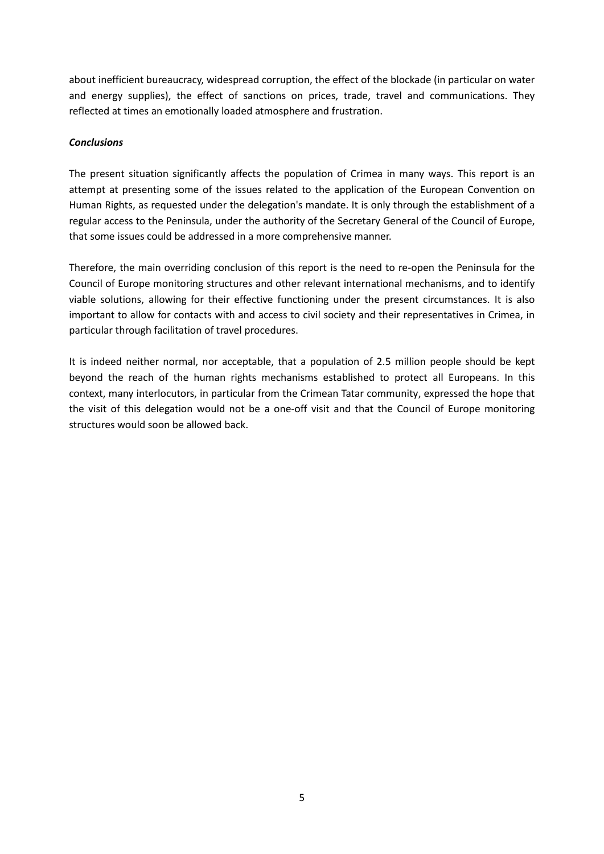about inefficient bureaucracy, widespread corruption, the effect of the blockade (in particular on water and energy supplies), the effect of sanctions on prices, trade, travel and communications. They reflected at times an emotionally loaded atmosphere and frustration.

#### *Conclusions*

The present situation significantly affects the population of Crimea in many ways. This report is an attempt at presenting some of the issues related to the application of the European Convention on Human Rights, as requested under the delegation's mandate. It is only through the establishment of a regular access to the Peninsula, under the authority of the Secretary General of the Council of Europe, that some issues could be addressed in a more comprehensive manner.

Therefore, the main overriding conclusion of this report is the need to re-open the Peninsula for the Council of Europe monitoring structures and other relevant international mechanisms, and to identify viable solutions, allowing for their effective functioning under the present circumstances. It is also important to allow for contacts with and access to civil society and their representatives in Crimea, in particular through facilitation of travel procedures.

It is indeed neither normal, nor acceptable, that a population of 2.5 million people should be kept beyond the reach of the human rights mechanisms established to protect all Europeans. In this context, many interlocutors, in particular from the Crimean Tatar community, expressed the hope that the visit of this delegation would not be a one-off visit and that the Council of Europe monitoring structures would soon be allowed back.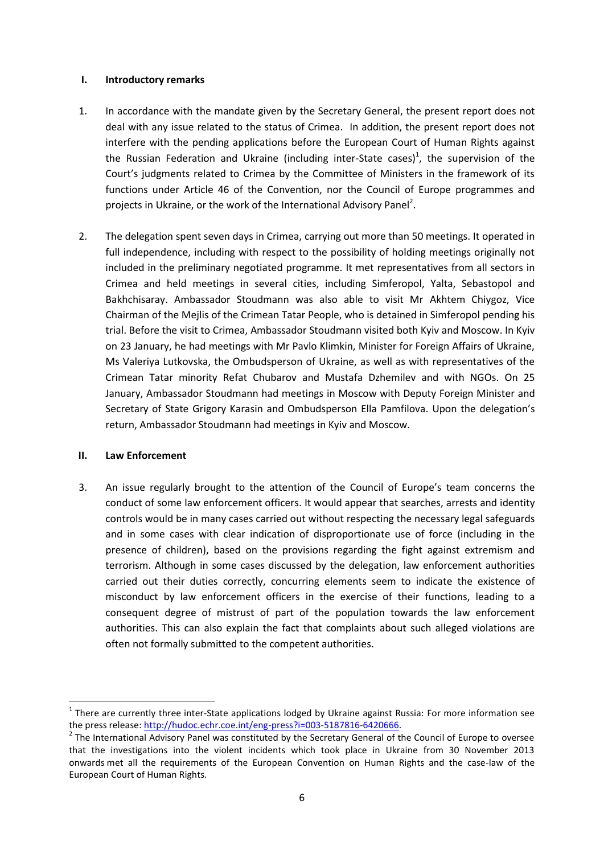#### **I. Introductory remarks**

- 1. In accordance with the mandate given by the Secretary General, the present report does not deal with any issue related to the status of Crimea. In addition, the present report does not interfere with the pending applications before the European Court of Human Rights against the Russian Federation and Ukraine (including inter-State cases)<sup>1</sup>, the supervision of the Court's judgments related to Crimea by the Committee of Ministers in the framework of its functions under Article 46 of the Convention, nor the Council of Europe programmes and projects in Ukraine, or the work of the International Advisory Panel<sup>2</sup>.
- 2. The delegation spent seven days in Crimea, carrying out more than 50 meetings. It operated in full independence, including with respect to the possibility of holding meetings originally not included in the preliminary negotiated programme. It met representatives from all sectors in Crimea and held meetings in several cities, including Simferopol, Yalta, Sebastopol and Bakhchisaray. Ambassador Stoudmann was also able to visit Mr Akhtem Chiygoz, Vice Chairman of the Mejlis of the Crimean Tatar People, who is detained in Simferopol pending his trial. Before the visit to Crimea, Ambassador Stoudmann visited both Kyiv and Moscow. In Kyiv on 23 January, he had meetings with Mr Pavlo Klimkin, Minister for Foreign Affairs of Ukraine, Ms Valeriya Lutkovska, the Ombudsperson of Ukraine, as well as with representatives of the Crimean Tatar minority Refat Chubarov and Mustafa Dzhemilev and with NGOs. On 25 January, Ambassador Stoudmann had meetings in Moscow with Deputy Foreign Minister and Secretary of State Grigory Karasin and Ombudsperson Ella Pamfilova. Upon the delegation's return, Ambassador Stoudmann had meetings in Kyiv and Moscow.

#### **II. Law Enforcement**

 $\overline{\phantom{a}}$ 

3. An issue regularly brought to the attention of the Council of Europe's team concerns the conduct of some law enforcement officers. It would appear that searches, arrests and identity controls would be in many cases carried out without respecting the necessary legal safeguards and in some cases with clear indication of disproportionate use of force (including in the presence of children), based on the provisions regarding the fight against extremism and terrorism. Although in some cases discussed by the delegation, law enforcement authorities carried out their duties correctly, concurring elements seem to indicate the existence of misconduct by law enforcement officers in the exercise of their functions, leading to a consequent degree of mistrust of part of the population towards the law enforcement authorities. This can also explain the fact that complaints about such alleged violations are often not formally submitted to the competent authorities.

 $1$  There are currently three inter-State applications lodged by Ukraine against Russia: For more information see the press release: [http://hudoc.echr.coe.int/eng-press?i=003-5187816-6420666.](http://hudoc.echr.coe.int/eng-press?i=003-5187816-6420666) 

 $2$  The International Advisory Panel was constituted by the Secretary General of the Council of Europe to oversee that the investigations into the violent incidents which took place in Ukraine from 30 November 2013 onwards met all the requirements of the European Convention on Human Rights and the case-law of the European Court of Human Rights.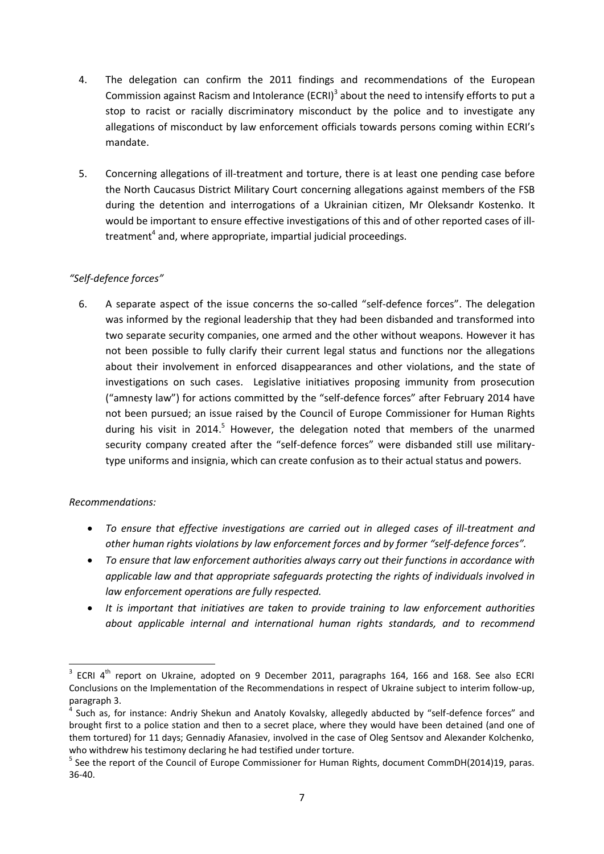- 4. The delegation can confirm the 2011 findings and recommendations of the European Commission against Racism and Intolerance (ECRI)<sup>3</sup> about the need to intensify efforts to put a stop to racist or racially discriminatory misconduct by the police and to investigate any allegations of misconduct by law enforcement officials towards persons coming within ECRI's mandate.
- 5. Concerning allegations of ill-treatment and torture, there is at least one pending case before the North Caucasus District Military Court concerning allegations against members of the FSB during the detention and interrogations of a Ukrainian citizen, Mr Oleksandr Kostenko. It would be important to ensure effective investigations of this and of other reported cases of illtreatment<sup>4</sup> and, where appropriate, impartial judicial proceedings.

# *"Self-defence forces"*

6. A separate aspect of the issue concerns the so-called "self-defence forces". The delegation was informed by the regional leadership that they had been disbanded and transformed into two separate security companies, one armed and the other without weapons. However it has not been possible to fully clarify their current legal status and functions nor the allegations about their involvement in enforced disappearances and other violations, and the state of investigations on such cases. Legislative initiatives proposing immunity from prosecution ("amnesty law") for actions committed by the "self-defence forces" after February 2014 have not been pursued; an issue raised by the Council of Europe Commissioner for Human Rights during his visit in 2014.<sup>5</sup> However, the delegation noted that members of the unarmed security company created after the "self-defence forces" were disbanded still use militarytype uniforms and insignia, which can create confusion as to their actual status and powers.

# *Recommendations:*

- *To ensure that effective investigations are carried out in alleged cases of ill-treatment and other human rights violations by law enforcement forces and by former "self-defence forces".*
- *To ensure that law enforcement authorities always carry out their functions in accordance with applicable law and that appropriate safeguards protecting the rights of individuals involved in law enforcement operations are fully respected.*
- *It is important that initiatives are taken to provide training to law enforcement authorities about applicable internal and international human rights standards, and to recommend*

and Techina the port on Ukraine, adopted on 9 December 2011, paragraphs 164, 166 and 168. See also ECRI<br><sup>3</sup> ECRI 4<sup>th</sup> report on Ukraine, adopted on 9 December 2011, paragraphs 164, 166 and 168. See also ECRI Conclusions on the Implementation of the Recommendations in respect of Ukraine subject to interim follow-up, paragraph 3.

Such as, for instance: Andriy Shekun and Anatoly Kovalsky, allegedly abducted by "self-defence forces" and brought first to a police station and then to a secret place, where they would have been detained (and one of them tortured) for 11 days; Gennadiy Afanasiev, involved in the case of Oleg Sentsov and Alexander Kolchenko, who withdrew his testimony declaring he had testified under torture.

<sup>&</sup>lt;sup>5</sup> See the report of the Council of Europe Commissioner for Human Rights, document CommDH(2014)19, paras. 36-40.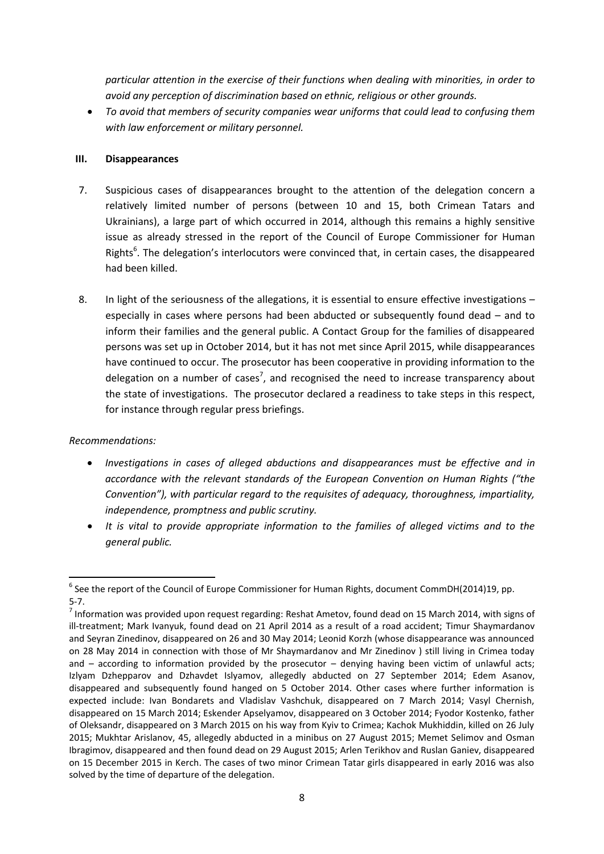*particular attention in the exercise of their functions when dealing with minorities, in order to avoid any perception of discrimination based on ethnic, religious or other grounds.* 

 *To avoid that members of security companies wear uniforms that could lead to confusing them with law enforcement or military personnel.*

# **III. Disappearances**

- 7. Suspicious cases of disappearances brought to the attention of the delegation concern a relatively limited number of persons (between 10 and 15, both Crimean Tatars and Ukrainians), a large part of which occurred in 2014, although this remains a highly sensitive issue as already stressed in the report of the Council of Europe Commissioner for Human Rights<sup>6</sup>. The delegation's interlocutors were convinced that, in certain cases, the disappeared had been killed.
- 8. In light of the seriousness of the allegations, it is essential to ensure effective investigations especially in cases where persons had been abducted or subsequently found dead – and to inform their families and the general public. A Contact Group for the families of disappeared persons was set up in October 2014, but it has not met since April 2015, while disappearances have continued to occur. The prosecutor has been cooperative in providing information to the delegation on a number of cases<sup>7</sup>, and recognised the need to increase transparency about the state of investigations. The prosecutor declared a readiness to take steps in this respect, for instance through regular press briefings.

# *Recommendations:*

- *Investigations in cases of alleged abductions and disappearances must be effective and in accordance with the relevant standards of the European Convention on Human Rights ("the Convention"), with particular regard to the requisites of adequacy, thoroughness, impartiality, independence, promptness and public scrutiny.*
- *It is vital to provide appropriate information to the families of alleged victims and to the general public.*

 $\overline{a}$  $^6$  See the report of the Council of Europe Commissioner for Human Rights, document CommDH(2014)19, pp. 5-7.

 $^7$  Information was provided upon request regarding: Reshat Ametov, found dead on 15 March 2014, with signs of ill-treatment; Mark Ivanyuk, found dead on 21 April 2014 as a result of a road accident; Timur Shaymardanov and Seyran Zinedinov, disappeared on 26 and 30 May 2014; Leonid Korzh (whose disappearance was announced on 28 May 2014 in connection with those of Mr Shaymardanov and Mr Zinedinov ) still living in Crimea today and  $-$  according to information provided by the prosecutor  $-$  denying having been victim of unlawful acts; Izlyam Dzhepparov and Dzhavdet Islyamov, allegedly abducted on 27 September 2014; Edem Asanov, disappeared and subsequently found hanged on 5 October 2014. Other cases where further information is expected include: Ivan Bondarets and Vladislav Vashchuk, disappeared on 7 March 2014; Vasyl Chernish, disappeared on 15 March 2014; Eskender Apselyamov, disappeared on 3 October 2014; Fyodor Kostenko, father of Oleksandr, disappeared on 3 March 2015 on his way from Kyiv to Crimea; Kachok Mukhiddin, killed on 26 July 2015; Mukhtar Arislanov, 45, allegedly abducted in a minibus on 27 August 2015; Memet Selimov and Osman Ibragimov, disappeared and then found dead on 29 August 2015; Arlen Terikhov and Ruslan Ganiev, disappeared on 15 December 2015 in Kerch. The cases of two minor Crimean Tatar girls disappeared in early 2016 was also solved by the time of departure of the delegation.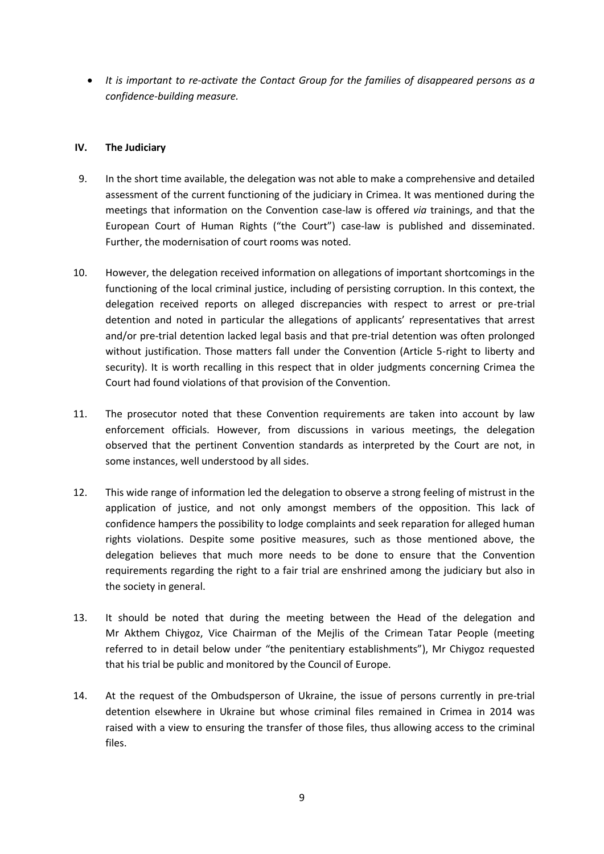*It is important to re-activate the Contact Group for the families of disappeared persons as a confidence-building measure.*

#### **IV. The Judiciary**

- 9. In the short time available, the delegation was not able to make a comprehensive and detailed assessment of the current functioning of the judiciary in Crimea. It was mentioned during the meetings that information on the Convention case-law is offered *via* trainings, and that the European Court of Human Rights ("the Court") case-law is published and disseminated. Further, the modernisation of court rooms was noted.
- 10. However, the delegation received information on allegations of important shortcomings in the functioning of the local criminal justice, including of persisting corruption. In this context, the delegation received reports on alleged discrepancies with respect to arrest or pre-trial detention and noted in particular the allegations of applicants' representatives that arrest and/or pre-trial detention lacked legal basis and that pre-trial detention was often prolonged without justification. Those matters fall under the Convention (Article 5-right to liberty and security). It is worth recalling in this respect that in older judgments concerning Crimea the Court had found violations of that provision of the Convention.
- 11. The prosecutor noted that these Convention requirements are taken into account by law enforcement officials. However, from discussions in various meetings, the delegation observed that the pertinent Convention standards as interpreted by the Court are not, in some instances, well understood by all sides.
- 12. This wide range of information led the delegation to observe a strong feeling of mistrust in the application of justice, and not only amongst members of the opposition. This lack of confidence hampers the possibility to lodge complaints and seek reparation for alleged human rights violations. Despite some positive measures, such as those mentioned above, the delegation believes that much more needs to be done to ensure that the Convention requirements regarding the right to a fair trial are enshrined among the judiciary but also in the society in general.
- 13. It should be noted that during the meeting between the Head of the delegation and Mr Akthem Chiygoz, Vice Chairman of the Mejlis of the Crimean Tatar People (meeting referred to in detail below under "the penitentiary establishments"), Mr Chiygoz requested that his trial be public and monitored by the Council of Europe.
- 14. At the request of the Ombudsperson of Ukraine, the issue of persons currently in pre-trial detention elsewhere in Ukraine but whose criminal files remained in Crimea in 2014 was raised with a view to ensuring the transfer of those files, thus allowing access to the criminal files.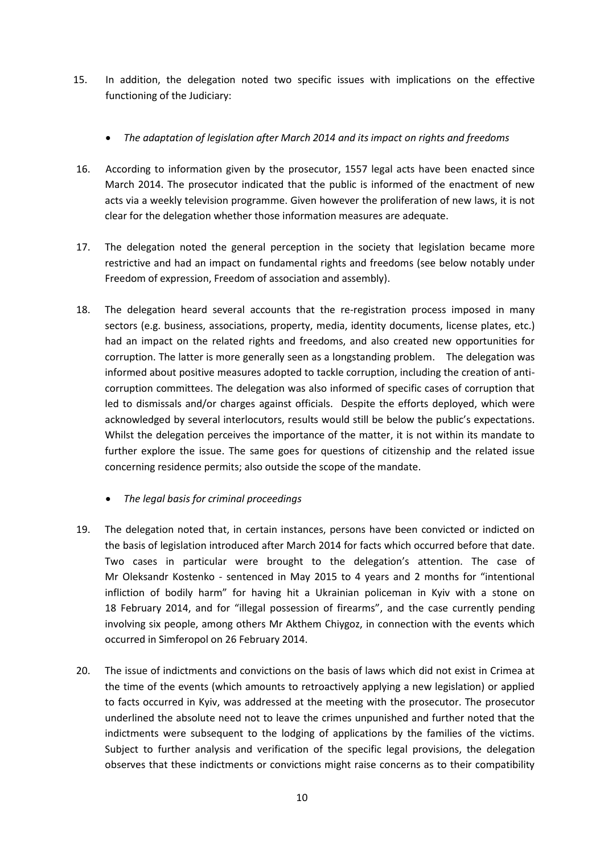- 15. In addition, the delegation noted two specific issues with implications on the effective functioning of the Judiciary:
	- *The adaptation of legislation after March 2014 and its impact on rights and freedoms*
- 16. According to information given by the prosecutor, 1557 legal acts have been enacted since March 2014. The prosecutor indicated that the public is informed of the enactment of new acts via a weekly television programme. Given however the proliferation of new laws, it is not clear for the delegation whether those information measures are adequate.
- 17. The delegation noted the general perception in the society that legislation became more restrictive and had an impact on fundamental rights and freedoms (see below notably under Freedom of expression, Freedom of association and assembly).
- 18. The delegation heard several accounts that the re-registration process imposed in many sectors (e.g. business, associations, property, media, identity documents, license plates, etc.) had an impact on the related rights and freedoms, and also created new opportunities for corruption. The latter is more generally seen as a longstanding problem. The delegation was informed about positive measures adopted to tackle corruption, including the creation of anticorruption committees. The delegation was also informed of specific cases of corruption that led to dismissals and/or charges against officials. Despite the efforts deployed, which were acknowledged by several interlocutors, results would still be below the public's expectations. Whilst the delegation perceives the importance of the matter, it is not within its mandate to further explore the issue. The same goes for questions of citizenship and the related issue concerning residence permits; also outside the scope of the mandate.
	- *The legal basis for criminal proceedings*
- 19. The delegation noted that, in certain instances, persons have been convicted or indicted on the basis of legislation introduced after March 2014 for facts which occurred before that date. Two cases in particular were brought to the delegation's attention. The case of Mr Oleksandr Kostenko - sentenced in May 2015 to 4 years and 2 months for "intentional infliction of bodily harm" for having hit a Ukrainian policeman in Kyiv with a stone on 18 February 2014, and for "illegal possession of firearms", and the case currently pending involving six people, among others Mr Akthem Chiygoz, in connection with the events which occurred in Simferopol on 26 February 2014.
- 20. The issue of indictments and convictions on the basis of laws which did not exist in Crimea at the time of the events (which amounts to retroactively applying a new legislation) or applied to facts occurred in Kyiv, was addressed at the meeting with the prosecutor. The prosecutor underlined the absolute need not to leave the crimes unpunished and further noted that the indictments were subsequent to the lodging of applications by the families of the victims. Subject to further analysis and verification of the specific legal provisions, the delegation observes that these indictments or convictions might raise concerns as to their compatibility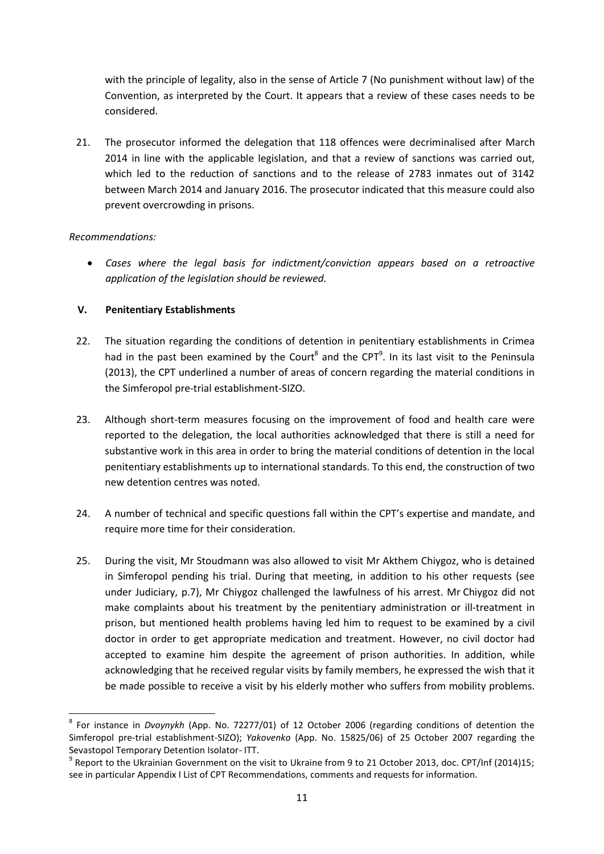with the principle of legality, also in the sense of Article 7 (No punishment without law) of the Convention, as interpreted by the Court. It appears that a review of these cases needs to be considered.

21. The prosecutor informed the delegation that 118 offences were decriminalised after March 2014 in line with the applicable legislation, and that a review of sanctions was carried out, which led to the reduction of sanctions and to the release of 2783 inmates out of 3142 between March 2014 and January 2016. The prosecutor indicated that this measure could also prevent overcrowding in prisons.

#### *Recommendations:*

l

 *Cases where the legal basis for indictment/conviction appears based on a retroactive application of the legislation should be reviewed.*

# **V. Penitentiary Establishments**

- 22. The situation regarding the conditions of detention in penitentiary establishments in Crimea had in the past been examined by the Court<sup>8</sup> and the CPT<sup>9</sup>. In its last visit to the Peninsula (2013), the CPT underlined a number of areas of concern regarding the material conditions in the Simferopol pre-trial establishment-SIZO.
- 23. Although short-term measures focusing on the improvement of food and health care were reported to the delegation, the local authorities acknowledged that there is still a need for substantive work in this area in order to bring the material conditions of detention in the local penitentiary establishments up to international standards. To this end, the construction of two new detention centres was noted.
- 24. A number of technical and specific questions fall within the CPT's expertise and mandate, and require more time for their consideration.
- 25. During the visit, Mr Stoudmann was also allowed to visit Mr Akthem Chiygoz, who is detained in Simferopol pending his trial. During that meeting, in addition to his other requests (see under Judiciary, p.7), Mr Chiygoz challenged the lawfulness of his arrest. Mr Chiygoz did not make complaints about his treatment by the penitentiary administration or ill-treatment in prison, but mentioned health problems having led him to request to be examined by a civil doctor in order to get appropriate medication and treatment. However, no civil doctor had accepted to examine him despite the agreement of prison authorities. In addition, while acknowledging that he received regular visits by family members, he expressed the wish that it be made possible to receive a visit by his elderly mother who suffers from mobility problems.

<sup>8</sup> For instance in *Dvoynykh* (App. No. 72277/01) of 12 October 2006 (regarding conditions of detention the Simferopol pre-trial establishment-SIZO); *Yakovenko* (App. No. 15825/06) of 25 October 2007 regarding the Sevastopol Temporary Detention Isolator- ITT.

<sup>&</sup>lt;sup>9</sup> Report to the Ukrainian Government on the visit to Ukraine from 9 to 21 October 2013, doc. CPT/Inf (2014)15; see in particular Appendix I List of CPT Recommendations, comments and requests for information.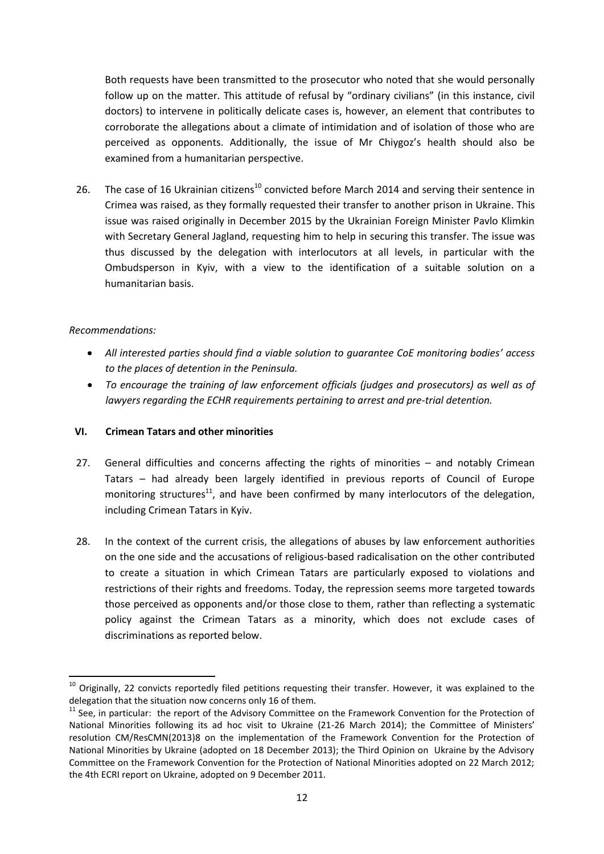Both requests have been transmitted to the prosecutor who noted that she would personally follow up on the matter. This attitude of refusal by "ordinary civilians" (in this instance, civil doctors) to intervene in politically delicate cases is, however, an element that contributes to corroborate the allegations about a climate of intimidation and of isolation of those who are perceived as opponents. Additionally, the issue of Mr Chiygoz's health should also be examined from a humanitarian perspective.

26. The case of 16 Ukrainian citizens<sup>10</sup> convicted before March 2014 and serving their sentence in Crimea was raised, as they formally requested their transfer to another prison in Ukraine. This issue was raised originally in December 2015 by the Ukrainian Foreign Minister Pavlo Klimkin with Secretary General Jagland, requesting him to help in securing this transfer. The issue was thus discussed by the delegation with interlocutors at all levels, in particular with the Ombudsperson in Kyiv, with a view to the identification of a suitable solution on a humanitarian basis.

# *Recommendations:*

 $\overline{\phantom{a}}$ 

- *All interested parties should find a viable solution to guarantee CoE monitoring bodies' access to the places of detention in the Peninsula.*
- *To encourage the training of law enforcement officials (judges and prosecutors) as well as of lawyers regarding the ECHR requirements pertaining to arrest and pre-trial detention.*

# **VI. Crimean Tatars and other minorities**

- 27. General difficulties and concerns affecting the rights of minorities and notably Crimean Tatars – had already been largely identified in previous reports of Council of Europe monitoring structures<sup>11</sup>, and have been confirmed by many interlocutors of the delegation, including Crimean Tatars in Kyiv.
- 28. In the context of the current crisis, the allegations of abuses by law enforcement authorities on the one side and the accusations of religious-based radicalisation on the other contributed to create a situation in which Crimean Tatars are particularly exposed to violations and restrictions of their rights and freedoms. Today, the repression seems more targeted towards those perceived as opponents and/or those close to them, rather than reflecting a systematic policy against the Crimean Tatars as a minority, which does not exclude cases of discriminations as reported below.

 $10$  Originally, 22 convicts reportedly filed petitions requesting their transfer. However, it was explained to the delegation that the situation now concerns only 16 of them.

 $11$  See, in particular: the report of the Advisory Committee on the Framework Convention for the Protection of National Minorities following its ad hoc visit to Ukraine (21-26 March 2014); the Committee of Ministers' resolution CM/ResCMN(2013)8 on the implementation of the Framework Convention for the Protection of National Minorities by Ukraine (adopted on 18 December 2013); the Third Opinion on Ukraine by the Advisory Committee on the Framework Convention for the Protection of National Minorities adopted on 22 March 2012; the 4th ECRI report on Ukraine, adopted on 9 December 2011.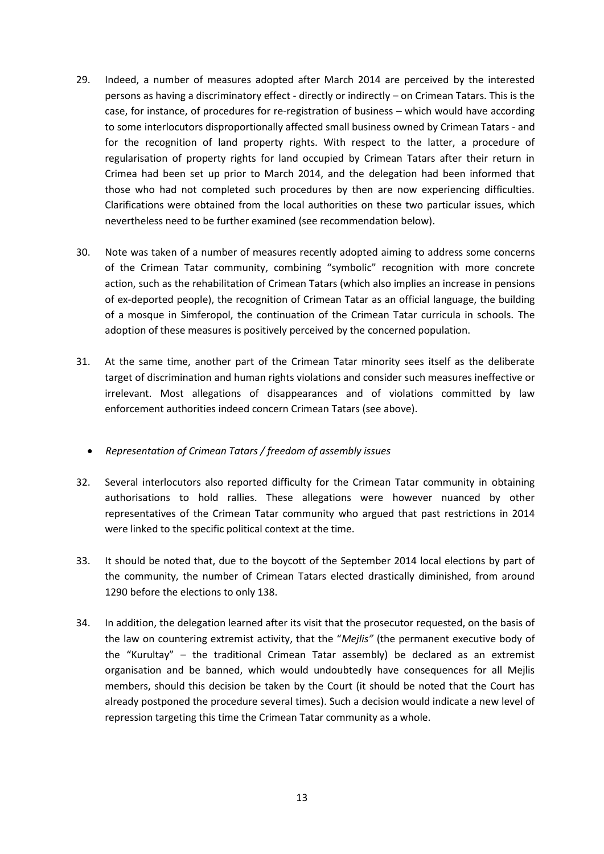- 29. Indeed, a number of measures adopted after March 2014 are perceived by the interested persons as having a discriminatory effect - directly or indirectly – on Crimean Tatars. This is the case, for instance, of procedures for re-registration of business – which would have according to some interlocutors disproportionally affected small business owned by Crimean Tatars - and for the recognition of land property rights. With respect to the latter, a procedure of regularisation of property rights for land occupied by Crimean Tatars after their return in Crimea had been set up prior to March 2014, and the delegation had been informed that those who had not completed such procedures by then are now experiencing difficulties. Clarifications were obtained from the local authorities on these two particular issues, which nevertheless need to be further examined (see recommendation below).
- 30. Note was taken of a number of measures recently adopted aiming to address some concerns of the Crimean Tatar community, combining "symbolic" recognition with more concrete action, such as the rehabilitation of Crimean Tatars (which also implies an increase in pensions of ex-deported people), the recognition of Crimean Tatar as an official language, the building of a mosque in Simferopol, the continuation of the Crimean Tatar curricula in schools. The adoption of these measures is positively perceived by the concerned population.
- 31. At the same time, another part of the Crimean Tatar minority sees itself as the deliberate target of discrimination and human rights violations and consider such measures ineffective or irrelevant. Most allegations of disappearances and of violations committed by law enforcement authorities indeed concern Crimean Tatars (see above).

# *Representation of Crimean Tatars / freedom of assembly issues*

- 32. Several interlocutors also reported difficulty for the Crimean Tatar community in obtaining authorisations to hold rallies. These allegations were however nuanced by other representatives of the Crimean Tatar community who argued that past restrictions in 2014 were linked to the specific political context at the time.
- 33. It should be noted that, due to the boycott of the September 2014 local elections by part of the community, the number of Crimean Tatars elected drastically diminished, from around 1290 before the elections to only 138.
- 34. In addition, the delegation learned after its visit that the prosecutor requested, on the basis of the law on countering extremist activity, that the "*Mejlis"* (the permanent executive body of the "Kurultay" – the traditional Crimean Tatar assembly) be declared as an extremist organisation and be banned, which would undoubtedly have consequences for all Mejlis members, should this decision be taken by the Court (it should be noted that the Court has already postponed the procedure several times). Such a decision would indicate a new level of repression targeting this time the Crimean Tatar community as a whole.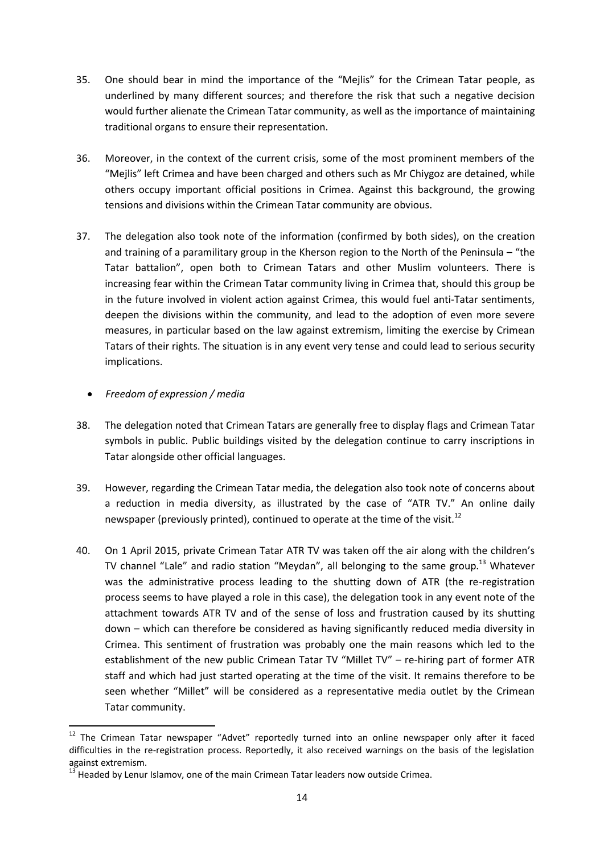- 35. One should bear in mind the importance of the "Mejlis" for the Crimean Tatar people, as underlined by many different sources; and therefore the risk that such a negative decision would further alienate the Crimean Tatar community, as well as the importance of maintaining traditional organs to ensure their representation.
- 36. Moreover, in the context of the current crisis, some of the most prominent members of the "Mejlis" left Crimea and have been charged and others such as Mr Chiygoz are detained, while others occupy important official positions in Crimea. Against this background, the growing tensions and divisions within the Crimean Tatar community are obvious.
- 37. The delegation also took note of the information (confirmed by both sides), on the creation and training of a paramilitary group in the Kherson region to the North of the Peninsula – "the Tatar battalion", open both to Crimean Tatars and other Muslim volunteers. There is increasing fear within the Crimean Tatar community living in Crimea that, should this group be in the future involved in violent action against Crimea, this would fuel anti-Tatar sentiments, deepen the divisions within the community, and lead to the adoption of even more severe measures, in particular based on the law against extremism, limiting the exercise by Crimean Tatars of their rights. The situation is in any event very tense and could lead to serious security implications.
	- *Freedom of expression / media*

 $\overline{\phantom{a}}$ 

- 38. The delegation noted that Crimean Tatars are generally free to display flags and Crimean Tatar symbols in public. Public buildings visited by the delegation continue to carry inscriptions in Tatar alongside other official languages.
- 39. However, regarding the Crimean Tatar media, the delegation also took note of concerns about a reduction in media diversity, as illustrated by the case of "ATR TV." An online daily newspaper (previously printed), continued to operate at the time of the visit.<sup>12</sup>
- 40. On 1 April 2015, private Crimean Tatar ATR TV was taken off the air along with the children's TV channel "Lale" and radio station "Meydan", all belonging to the same group.<sup>13</sup> Whatever was the administrative process leading to the shutting down of ATR (the re-registration process seems to have played a role in this case), the delegation took in any event note of the attachment towards ATR TV and of the sense of loss and frustration caused by its shutting down – which can therefore be considered as having significantly reduced media diversity in Crimea. This sentiment of frustration was probably one the main reasons which led to the establishment of the new public Crimean Tatar TV "Millet TV" – re-hiring part of former ATR staff and which had just started operating at the time of the visit. It remains therefore to be seen whether "Millet" will be considered as a representative media outlet by the Crimean Tatar community.

 $12$  The Crimean Tatar newspaper "Advet" reportedly turned into an online newspaper only after it faced difficulties in the re-registration process. Reportedly, it also received warnings on the basis of the legislation against extremism.

 $13$  Headed by Lenur Islamov, one of the main Crimean Tatar leaders now outside Crimea.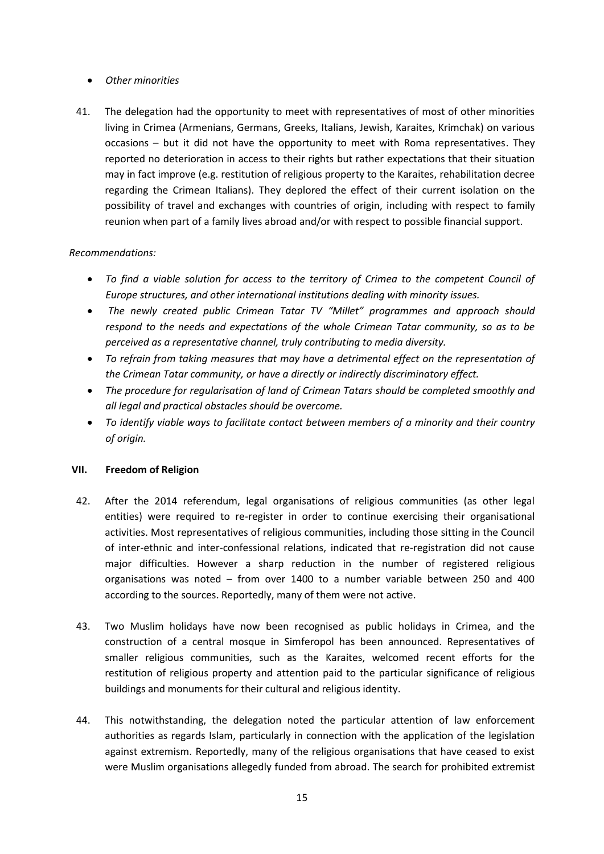# *Other minorities*

41. The delegation had the opportunity to meet with representatives of most of other minorities living in Crimea (Armenians, Germans, Greeks, Italians, Jewish, Karaites, Krimchak) on various occasions – but it did not have the opportunity to meet with Roma representatives. They reported no deterioration in access to their rights but rather expectations that their situation may in fact improve (e.g. restitution of religious property to the Karaites, rehabilitation decree regarding the Crimean Italians). They deplored the effect of their current isolation on the possibility of travel and exchanges with countries of origin, including with respect to family reunion when part of a family lives abroad and/or with respect to possible financial support.

# *Recommendations:*

- *To find a viable solution for access to the territory of Crimea to the competent Council of Europe structures, and other international institutions dealing with minority issues.*
- *The newly created public Crimean Tatar TV "Millet" programmes and approach should respond to the needs and expectations of the whole Crimean Tatar community, so as to be perceived as a representative channel, truly contributing to media diversity.*
- *To refrain from taking measures that may have a detrimental effect on the representation of the Crimean Tatar community, or have a directly or indirectly discriminatory effect.*
- *The procedure for regularisation of land of Crimean Tatars should be completed smoothly and all legal and practical obstacles should be overcome.*
- *To identify viable ways to facilitate contact between members of a minority and their country of origin.*

# **VII. Freedom of Religion**

- 42. After the 2014 referendum, legal organisations of religious communities (as other legal entities) were required to re-register in order to continue exercising their organisational activities. Most representatives of religious communities, including those sitting in the Council of inter-ethnic and inter-confessional relations, indicated that re-registration did not cause major difficulties. However a sharp reduction in the number of registered religious organisations was noted – from over 1400 to a number variable between 250 and 400 according to the sources. Reportedly, many of them were not active.
- 43. Two Muslim holidays have now been recognised as public holidays in Crimea, and the construction of a central mosque in Simferopol has been announced. Representatives of smaller religious communities, such as the Karaites, welcomed recent efforts for the restitution of religious property and attention paid to the particular significance of religious buildings and monuments for their cultural and religious identity.
- 44. This notwithstanding, the delegation noted the particular attention of law enforcement authorities as regards Islam, particularly in connection with the application of the legislation against extremism. Reportedly, many of the religious organisations that have ceased to exist were Muslim organisations allegedly funded from abroad. The search for prohibited extremist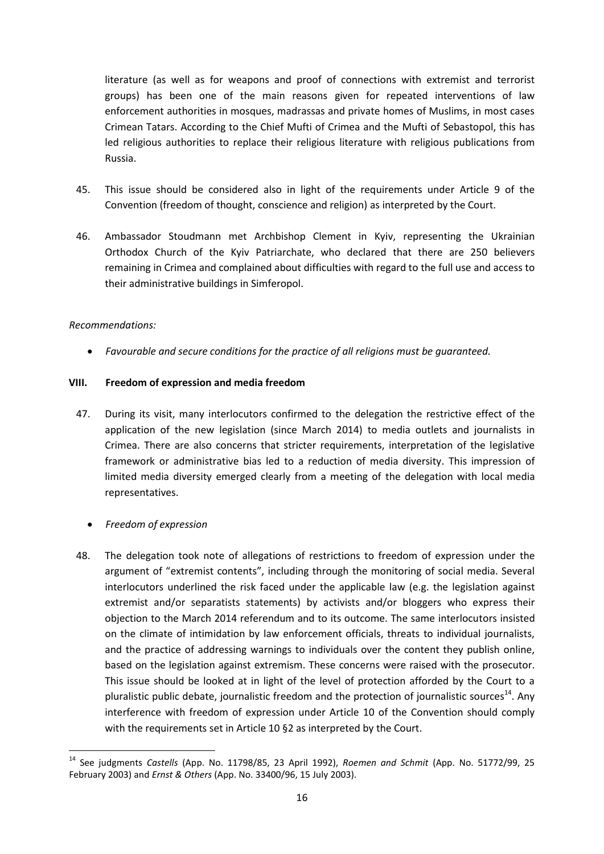literature (as well as for weapons and proof of connections with extremist and terrorist groups) has been one of the main reasons given for repeated interventions of law enforcement authorities in mosques, madrassas and private homes of Muslims, in most cases Crimean Tatars. According to the Chief Mufti of Crimea and the Mufti of Sebastopol, this has led religious authorities to replace their religious literature with religious publications from Russia.

- 45. This issue should be considered also in light of the requirements under Article 9 of the Convention (freedom of thought, conscience and religion) as interpreted by the Court.
- 46. Ambassador Stoudmann met Archbishop Clement in Kyiv, representing the Ukrainian Orthodox Church of the Kyiv Patriarchate, who declared that there are 250 believers remaining in Crimea and complained about difficulties with regard to the full use and access to their administrative buildings in Simferopol.

#### *Recommendations:*

*Favourable and secure conditions for the practice of all religions must be guaranteed.* 

#### **VIII. Freedom of expression and media freedom**

- 47. During its visit, many interlocutors confirmed to the delegation the restrictive effect of the application of the new legislation (since March 2014) to media outlets and journalists in Crimea. There are also concerns that stricter requirements, interpretation of the legislative framework or administrative bias led to a reduction of media diversity. This impression of limited media diversity emerged clearly from a meeting of the delegation with local media representatives.
	- *Freedom of expression*
- 48. The delegation took note of allegations of restrictions to freedom of expression under the argument of "extremist contents", including through the monitoring of social media. Several interlocutors underlined the risk faced under the applicable law (e.g. the legislation against extremist and/or separatists statements) by activists and/or bloggers who express their objection to the March 2014 referendum and to its outcome. The same interlocutors insisted on the climate of intimidation by law enforcement officials, threats to individual journalists, and the practice of addressing warnings to individuals over the content they publish online, based on the legislation against extremism. These concerns were raised with the prosecutor. This issue should be looked at in light of the level of protection afforded by the Court to a pluralistic public debate, journalistic freedom and the protection of journalistic sources<sup>14</sup>. Any interference with freedom of expression under Article 10 of the Convention should comply with the requirements set in Article 10 §2 as interpreted by the Court.

<sup>14</sup> <sup>14</sup> See judgments *Castells* (App. No. 11798/85, 23 April 1992), *Roemen and Schmit* (App. No. 51772/99, 25 February 2003) and *Ernst & Others* (App. No. 33400/96, 15 July 2003).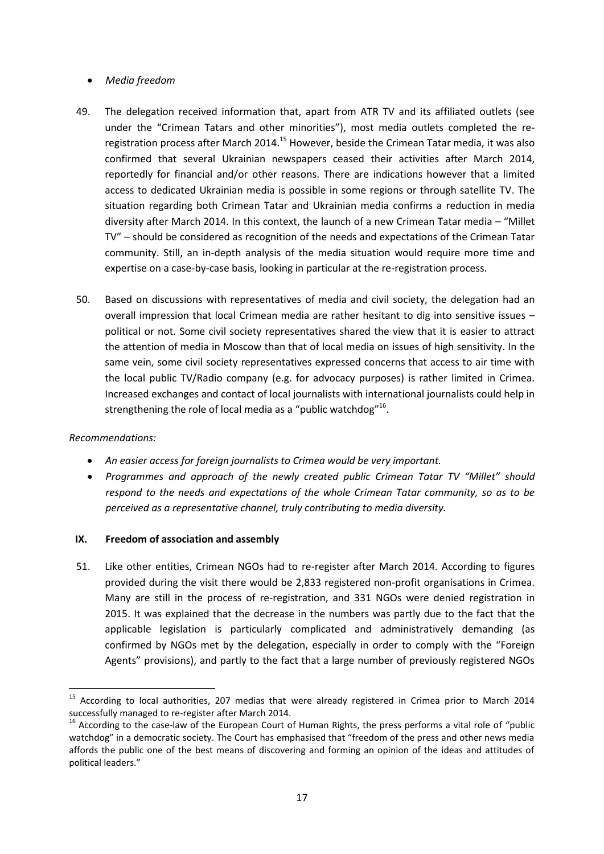# *Media freedom*

- 49. The delegation received information that, apart from ATR TV and its affiliated outlets (see under the "Crimean Tatars and other minorities"), most media outlets completed the reregistration process after March 2014.<sup>15</sup> However, beside the Crimean Tatar media, it was also confirmed that several Ukrainian newspapers ceased their activities after March 2014, reportedly for financial and/or other reasons. There are indications however that a limited access to dedicated Ukrainian media is possible in some regions or through satellite TV. The situation regarding both Crimean Tatar and Ukrainian media confirms a reduction in media diversity after March 2014. In this context, the launch of a new Crimean Tatar media – "Millet TV" – should be considered as recognition of the needs and expectations of the Crimean Tatar community. Still, an in-depth analysis of the media situation would require more time and expertise on a case-by-case basis, looking in particular at the re-registration process.
- 50. Based on discussions with representatives of media and civil society, the delegation had an overall impression that local Crimean media are rather hesitant to dig into sensitive issues – political or not. Some civil society representatives shared the view that it is easier to attract the attention of media in Moscow than that of local media on issues of high sensitivity. In the same vein, some civil society representatives expressed concerns that access to air time with the local public TV/Radio company (e.g. for advocacy purposes) is rather limited in Crimea. Increased exchanges and contact of local journalists with international journalists could help in strengthening the role of local media as a "public watchdog"<sup>16</sup>.

# *Recommendations:*

- *An easier access for foreign journalists to Crimea would be very important.*
- *Programmes and approach of the newly created public Crimean Tatar TV "Millet" should respond to the needs and expectations of the whole Crimean Tatar community, so as to be perceived as a representative channel, truly contributing to media diversity.*

#### **IX. Freedom of association and assembly**

51. Like other entities, Crimean NGOs had to re-register after March 2014. According to figures provided during the visit there would be 2,833 registered non-profit organisations in Crimea. Many are still in the process of re-registration, and 331 NGOs were denied registration in 2015. It was explained that the decrease in the numbers was partly due to the fact that the applicable legislation is particularly complicated and administratively demanding (as confirmed by NGOs met by the delegation, especially in order to comply with the "Foreign Agents" provisions), and partly to the fact that a large number of previously registered NGOs

l <sup>15</sup> According to local authorities, 207 medias that were already registered in Crimea prior to March 2014 successfully managed to re-register after March 2014.

<sup>&</sup>lt;sup>16</sup> According to the case-law of the European Court of Human Rights, the press performs a vital role of "public watchdog" in a democratic society. The Court has emphasised that "freedom of the press and other news media affords the public one of the best means of discovering and forming an opinion of the ideas and attitudes of political leaders."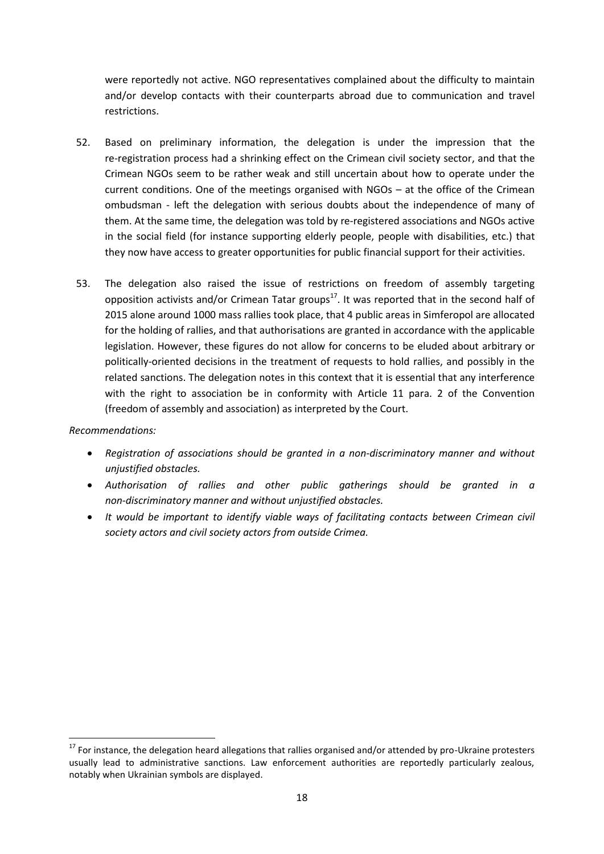were reportedly not active. NGO representatives complained about the difficulty to maintain and/or develop contacts with their counterparts abroad due to communication and travel restrictions.

- 52. Based on preliminary information, the delegation is under the impression that the re-registration process had a shrinking effect on the Crimean civil society sector, and that the Crimean NGOs seem to be rather weak and still uncertain about how to operate under the current conditions. One of the meetings organised with NGOs – at the office of the Crimean ombudsman - left the delegation with serious doubts about the independence of many of them. At the same time, the delegation was told by re-registered associations and NGOs active in the social field (for instance supporting elderly people, people with disabilities, etc.) that they now have access to greater opportunities for public financial support for their activities.
- 53. The delegation also raised the issue of restrictions on freedom of assembly targeting opposition activists and/or Crimean Tatar groups $^{17}$ . It was reported that in the second half of 2015 alone around 1000 mass rallies took place, that 4 public areas in Simferopol are allocated for the holding of rallies, and that authorisations are granted in accordance with the applicable legislation. However, these figures do not allow for concerns to be eluded about arbitrary or politically-oriented decisions in the treatment of requests to hold rallies, and possibly in the related sanctions. The delegation notes in this context that it is essential that any interference with the right to association be in conformity with Article 11 para. 2 of the Convention (freedom of assembly and association) as interpreted by the Court.

*Recommendations:*

 $\overline{\phantom{a}}$ 

- *Registration of associations should be granted in a non-discriminatory manner and without unjustified obstacles.*
- *Authorisation of rallies and other public gatherings should be granted in a non-discriminatory manner and without unjustified obstacles.*
- *It would be important to identify viable ways of facilitating contacts between Crimean civil society actors and civil society actors from outside Crimea.*

<sup>&</sup>lt;sup>17</sup> For instance, the delegation heard allegations that rallies organised and/or attended by pro-Ukraine protesters usually lead to administrative sanctions. Law enforcement authorities are reportedly particularly zealous, notably when Ukrainian symbols are displayed.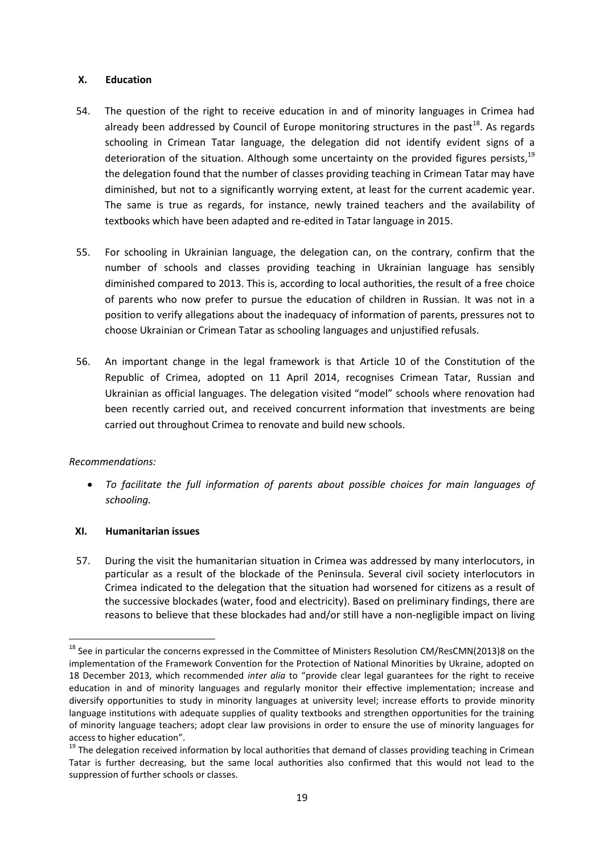#### **X. Education**

- 54. The question of the right to receive education in and of minority languages in Crimea had already been addressed by Council of Europe monitoring structures in the past<sup>18</sup>. As regards schooling in Crimean Tatar language, the delegation did not identify evident signs of a deterioration of the situation. Although some uncertainty on the provided figures persists,<sup>19</sup> the delegation found that the number of classes providing teaching in Crimean Tatar may have diminished, but not to a significantly worrying extent, at least for the current academic year. The same is true as regards, for instance, newly trained teachers and the availability of textbooks which have been adapted and re-edited in Tatar language in 2015.
- 55. For schooling in Ukrainian language, the delegation can, on the contrary, confirm that the number of schools and classes providing teaching in Ukrainian language has sensibly diminished compared to 2013. This is, according to local authorities, the result of a free choice of parents who now prefer to pursue the education of children in Russian. It was not in a position to verify allegations about the inadequacy of information of parents, pressures not to choose Ukrainian or Crimean Tatar as schooling languages and unjustified refusals.
- 56. An important change in the legal framework is that Article 10 of the Constitution of the Republic of Crimea, adopted on 11 April 2014, recognises Crimean Tatar, Russian and Ukrainian as official languages. The delegation visited "model" schools where renovation had been recently carried out, and received concurrent information that investments are being carried out throughout Crimea to renovate and build new schools.

# *Recommendations:*

 $\overline{\phantom{a}}$ 

 *To facilitate the full information of parents about possible choices for main languages of schooling.*

# **XI. Humanitarian issues**

57. During the visit the humanitarian situation in Crimea was addressed by many interlocutors, in particular as a result of the blockade of the Peninsula. Several civil society interlocutors in Crimea indicated to the delegation that the situation had worsened for citizens as a result of the successive blockades (water, food and electricity). Based on preliminary findings, there are reasons to believe that these blockades had and/or still have a non-negligible impact on living

<sup>&</sup>lt;sup>18</sup> See in particular the concerns expressed in the Committee of Ministers Resolution CM/ResCMN(2013)8 on the implementation of the Framework Convention for the Protection of National Minorities by Ukraine, adopted on 18 December 2013, which recommended *inter alia* to "provide clear legal guarantees for the right to receive education in and of minority languages and regularly monitor their effective implementation; increase and diversify opportunities to study in minority languages at university level; increase efforts to provide minority language institutions with adequate supplies of quality textbooks and strengthen opportunities for the training of minority language teachers; adopt clear law provisions in order to ensure the use of minority languages for access to higher education".

<sup>&</sup>lt;sup>19</sup> The delegation received information by local authorities that demand of classes providing teaching in Crimean Tatar is further decreasing, but the same local authorities also confirmed that this would not lead to the suppression of further schools or classes.